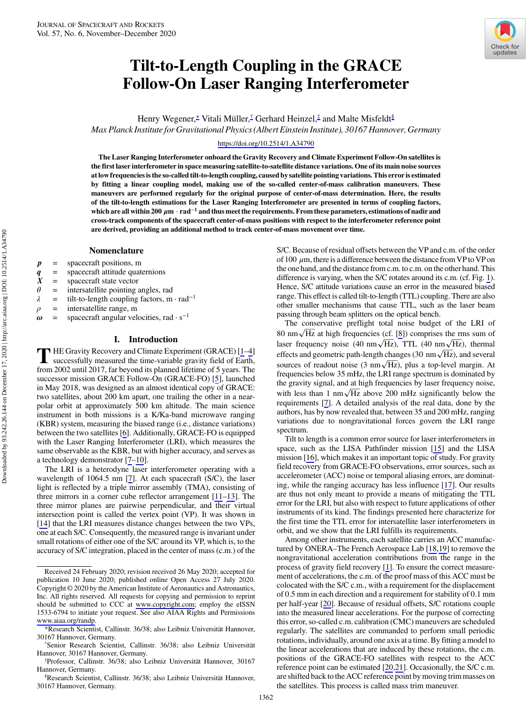

# Tilt-to-Length Coupling in the GRACE Follow-On Laser Ranging Interferometer

Henry Wegener,\* Vitali Müller,<sup>†</sup> Gerhard Heinzel,<sup>‡</sup> and Malte Misfeldt<sup>§</sup> Max Planck Institute for Gravitational Physics (Albert Einstein Institute), 30167 Hannover, Germany

## <https://doi.org/10.2514/1.A34790>

The Laser Ranging Interferometer onboard the Gravity Recovery and Climate Experiment Follow-On satellites is the first laser interferometer in space measuring satellite-to-satellite distance variations. One of its main noise sources at low frequencies is the so-called tilt-to-length coupling, caused by satellite pointing variations. This error is estimated by fitting a linear coupling model, making use of the so-called center-of-mass calibration maneuvers. These maneuvers are performed regularly for the original purpose of center-of-mass determination. Here, the results of the tilt-to-length estimations for the Laser Ranging Interferometer are presented in terms of coupling factors, which are all within 200  $\mu$ m ⋅ rad<sup>-1</sup> and thus meet the requirements. From these parameters, estimations of nadir and cross-track components of the spacecraft center-of-mass positions with respect to the interferometer reference point are derived, providing an additional method to track center-of-mass movement over time.

## Nomenclature

- $p =$  spacecraft positions, m
- $q$  = spacecraft attitude quaternions<br> $X$  = spacecraft state vector
	- = spacecraft state vector
- $\theta$  = intersatellite pointing angles, rad
- $\lambda$  = tilt-to-length coupling factors, m · rad<sup>-1</sup>
- $\rho$  = intersatellite range, m
- $\omega$  = spacecraft angular velocities, rad  $\cdot$  s<sup>-1</sup>

## I. Introduction

THE Gravity Recovery and Climate Experiment (GRACE) [\[1](#page-9-0)–[4\]](#page-9-0)<br>successfully measured the time-variable gravity field of Earth, from 2002 until 2017, far beyond its planned lifetime of 5 years. The successor mission GRACE Follow-On (GRACE-FO) [\[5\]](#page-9-0), launched in May 2018, was designed as an almost identical copy of GRACE: two satellites, about 200 km apart, one trailing the other in a nearpolar orbit at approximately 500 km altitude. The main science instrument in both missions is a K/Ka-band microwave ranging (KBR) system, measuring the biased range (i.e., distance variations) between the two satellites [[6](#page-9-0)]. Additionally, GRACE-FO is equipped with the Laser Ranging Interferometer (LRI), which measures the same observable as the KBR, but with higher accuracy, and serves as a technology demonstrator [\[7](#page-9-0)–[10](#page-9-0)].

The LRI is a heterodyne laser interferometer operating with a wavelength of 1064.5 nm [\[7\]](#page-9-0). At each spacecraft (S/C), the laser light is reflected by a triple mirror assembly (TMA), consisting of three mirrors in a corner cube reflector arrangement [\[11](#page-9-0)–[13\]](#page-9-0). The three mirror planes are pairwise perpendicular, and their virtual intersection point is called the vertex point (VP). It was shown in [\[14](#page-9-0)] that the LRI measures distance changes between the two VPs, one at each S/C. Consequently, the measured range is invariant under small rotations of either one of the S/C around its VP, which is, to the accuracy of S/C integration, placed in the center of mass (c.m.) of the S/C. Because of residual offsets between the VP and c.m. of the order of 100  $\mu$ m, there is a difference between the distance from VP to VP on the one hand, and the distance from c.m. to c.m. on the other hand. This difference is varying, when the S/C rotates around its c.m. (cf. Fig. [1](#page-1-0)). Hence, S/C attitude variations cause an error in the measured biased range. This effect is called tilt-to-length (TTL) coupling. There are also other smaller mechanisms that cause TTL, such as the laser beam passing through beam splitters on the optical bench.

The conservative preflight total noise budget of the LRI of 80 nm $\sqrt{Hz}$  at high frequencies (cf. [\[8\]](#page-9-0)) comprises the rms sum of laser frequency noise (40 nm $\sqrt{Hz}$ ), TTL (40 nm $\sqrt{Hz}$ ), thermal effects and geometric path-length changes (30 nm $\sqrt{Hz}$ ), and several sources of readout noise (3 nm $\sqrt{Hz}$ ), plus a top-level margin. At frequencies below 35 mHz, the LRI range spectrum is dominated by the gravity signal, and at high frequencies by laser frequency noise, with less than 1 nm $\sqrt{Hz}$  above 200 mHz significantly below the requirements [[7](#page-9-0)]. A detailed analysis of the real data, done by the authors, has by now revealed that, between 35 and 200 mHz, ranging variations due to nongravitational forces govern the LRI range spectrum.

Tilt to length is a common error source for laser interferometers in space, such as the LISA Pathfinder mission [[15\]](#page-9-0) and the LISA mission [[16\]](#page-9-0), which makes it an important topic of study. For gravity field recovery from GRACE-FO observations, error sources, such as accelerometer (ACC) noise or temporal aliasing errors, are dominating, while the ranging accuracy has less influence [\[17](#page-9-0)]. Our results are thus not only meant to provide a means of mitigating the TTL error for the LRI, but also with respect to future applications of other instruments of its kind. The findings presented here characterize for the first time the TTL error for intersatellite laser interferometers in orbit, and we show that the LRI fulfills its requirements.

Among other instruments, each satellite carries an ACC manufactured by ONERA–The French Aerospace Lab [\[18](#page-9-0),[19](#page-9-0)] to remove the nongravitational acceleration contributions from the range in the process of gravity field recovery [[1](#page-9-0)]. To ensure the correct measurement of accelerations, the c.m. of the proof mass of this ACC must be colocated with the S/C c.m., with a requirement for the displacement of 0.5 mm in each direction and a requirement for stability of 0.1 mm per half-year [\[20](#page-9-0)]. Because of residual offsets, S/C rotations couple into the measured linear accelerations. For the purpose of correcting this error, so-called c.m. calibration (CMC) maneuvers are scheduled regularly. The satellites are commanded to perform small periodic rotations, individually, around one axis at a time. By fitting a model to the linear accelerations that are induced by these rotations, the c.m. positions of the GRACE-FO satellites with respect to the ACC reference point can be estimated [\[20](#page-9-0),[21\]](#page-9-0). Occasionally, the S/C c.m. are shifted back to the ACC reference point by moving trim masses on the satellites. This process is called mass trim maneuver.

Received 24 February 2020; revision received 26 May 2020; accepted for publication 10 June 2020; published online Open Access 27 July 2020. Copyright © 2020 by the American Institute of Aeronautics and Astronautics, Inc. All rights reserved. All requests for copying and permission to reprint should be submitted to CCC at [www.copyright.com;](www.copyright.com) employ the eISSN 1533-6794 to initiate your request. See also AIAA Rights and Permissions <www.aiaa.org/randp>.

<sup>\*</sup>Research Scientist, Callinstr. 36/38; also Leibniz Universität Hannover, 30167 Hannover, Germany. †

Senior Research Scientist, Callinstr. 36/38; also Leibniz Universität Hannover, 30167 Hannover, Germany.

Professor, Callinstr. 36/38; also Leibniz Universität Hannover, 30167 Hannover, Germany.

<sup>§</sup> Research Scientist, Callinstr. 36/38; also Leibniz Universität Hannover, 30167 Hannover, Germany.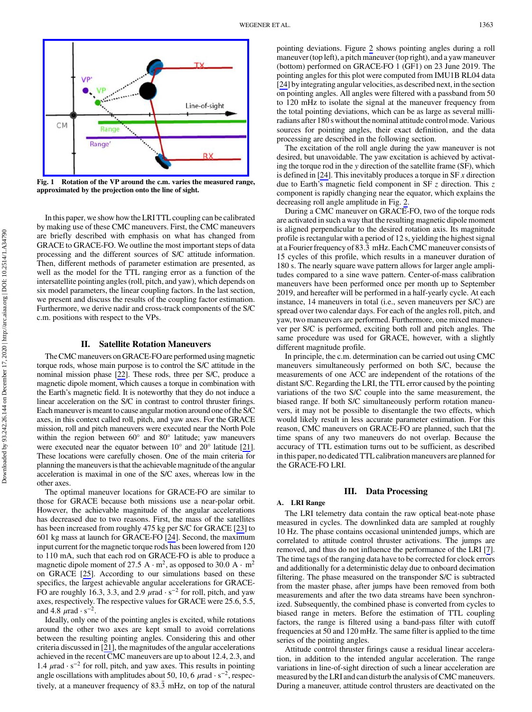<span id="page-1-0"></span>

Fig. 1 Rotation of the VP around the c.m. varies the measured range, approximated by the projection onto the line of sight.

In this paper, we show how the LRI TTL coupling can be calibrated by making use of these CMC maneuvers. First, the CMC maneuvers are briefly described with emphasis on what has changed from GRACE to GRACE-FO. We outline the most important steps of data processing and the different sources of S/C attitude information. Then, different methods of parameter estimation are presented, as well as the model for the TTL ranging error as a function of the intersatellite pointing angles (roll, pitch, and yaw), which depends on six model parameters, the linear coupling factors. In the last section, we present and discuss the results of the coupling factor estimation. Furthermore, we derive nadir and cross-track components of the S/C c.m. positions with respect to the VPs.

## II. Satellite Rotation Maneuvers

The CMC maneuvers on GRACE-FO are performed using magnetic torque rods, whose main purpose is to control the S/C attitude in the nominal mission phase [\[22\]](#page-9-0). These rods, three per S/C, produce a magnetic dipole moment, which causes a torque in combination with the Earth's magnetic field. It is noteworthy that they do not induce a linear acceleration on the S/C in contrast to control thruster firings. Each maneuver is meant to cause angular motion around one of the S/C axes, in this context called roll, pitch, and yaw axes. For the GRACE mission, roll and pitch maneuvers were executed near the North Pole within the region between 60° and 80° latitude; yaw maneuvers were executed near the equator between 10° and 20° latitude [[21\]](#page-9-0). These locations were carefully chosen. One of the main criteria for planning the maneuvers is that the achievable magnitude of the angular acceleration is maximal in one of the S/C axes, whereas low in the other axes.

The optimal maneuver locations for GRACE-FO are similar to those for GRACE because both missions use a near-polar orbit. However, the achievable magnitude of the angular accelerations has decreased due to two reasons. First, the mass of the satellites has been increased from roughly 475 kg per S/C for GRACE [[23\]](#page-9-0) to 601 kg mass at launch for GRACE-FO [\[24](#page-9-0)]. Second, the maximum input current for the magnetic torque rods has been lowered from 120 to 110 mA, such that each rod on GRACE-FO is able to produce a magnetic dipole moment of 27.5 A  $\cdot$  m<sup>2</sup>, as opposed to 30.0 A  $\cdot$  m<sup>2</sup> on GRACE [\[25](#page-9-0)]. According to our simulations based on these specifics, the largest achievable angular accelerations for GRACE-FO are roughly 16.3, 3.3, and 2.9  $\mu$ rad ⋅ s<sup>-2</sup> for roll, pitch, and yaw axes, respectively. The respective values for GRACE were 25.6, 5.5, and 4.8  $\mu$ rad ⋅ s<sup>-2</sup>

Ideally, only one of the pointing angles is excited, while rotations around the other two axes are kept small to avoid correlations between the resulting pointing angles. Considering this and other criteria discussed in [\[21](#page-9-0)], the magnitudes of the angular accelerations achieved in the recent CMC maneuvers are up to about 12.4, 2.3, and 1.4  $\mu$ rad ⋅ s<sup>-2</sup> for roll, pitch, and yaw axes. This results in pointing angle oscillations with amplitudes about 50, 10, 6  $\mu$ rad ⋅ s<sup>-2</sup>, respectively, at a maneuver frequency of  $83.\overline{3}$  mHz, on top of the natural

pointing deviations. Figure [2](#page-2-0) shows pointing angles during a roll maneuver (top left), a pitch maneuver (top right), and a yaw maneuver (bottom) performed on GRACE-FO 1 (GF1) on 23 June 2019. The pointing angles for this plot were computed from IMU1B RL04 data [\[24](#page-9-0)] by integrating angular velocities, as described next, in the section on pointing angles. All angles were filtered with a passband from 50 to 120 mHz to isolate the signal at the maneuver frequency from the total pointing deviations, which can be as large as several milliradians after 180 s without the nominal attitude control mode. Various sources for pointing angles, their exact definition, and the data processing are described in the following section.

The excitation of the roll angle during the yaw maneuver is not desired, but unavoidable. The yaw excitation is achieved by activating the torque rod in the y direction of the satellite frame (SF), which is defined in  $[24]$  $[24]$ . This inevitably produces a torque in SF x direction due to Earth's magnetic field component in SF  $z$  direction. This  $z$ component is rapidly changing near the equator, which explains the decreasing roll angle amplitude in Fig. [2](#page-2-0).

During a CMC maneuver on GRACE-FO, two of the torque rods are activated in such a way that the resulting magnetic dipole moment is aligned perpendicular to the desired rotation axis. Its magnitude profile is rectangular with a period of 12 s, yielding the highest signal at a Fourier frequency of  $83.\overline{3}$  mHz. Each CMC maneuver consists of 15 cycles of this profile, which results in a maneuver duration of 180 s. The nearly square wave pattern allows for larger angle amplitudes compared to a sine wave pattern. Center-of-mass calibration maneuvers have been performed once per month up to September 2019, and hereafter will be performed in a half-yearly cycle. At each instance, 14 maneuvers in total (i.e., seven maneuvers per S/C) are spread over two calendar days. For each of the angles roll, pitch, and yaw, two maneuvers are performed. Furthermore, one mixed maneuver per S/C is performed, exciting both roll and pitch angles. The same procedure was used for GRACE, however, with a slightly different magnitude profile.

In principle, the c.m. determination can be carried out using CMC maneuvers simultaneously performed on both S/C, because the measurements of one ACC are independent of the rotations of the distant S/C. Regarding the LRI, the TTL error caused by the pointing variations of the two S/C couple into the same measurement, the biased range. If both S/C simultaneously perform rotation maneuvers, it may not be possible to disentangle the two effects, which would likely result in less accurate parameter estimation. For this reason, CMC maneuvers on GRACE-FO are planned, such that the time spans of any two maneuvers do not overlap. Because the accuracy of TTL estimation turns out to be sufficient, as described in this paper, no dedicated TTL calibration maneuvers are planned for the GRACE-FO LRI.

# III. Data Processing

# A. LRI Range

The LRI telemetry data contain the raw optical beat-note phase measured in cycles. The downlinked data are sampled at roughly 10 Hz. The phase contains occasional unintended jumps, which are correlated to attitude control thruster activations. The jumps are removed, and thus do not influence the performance of the LRI [[7](#page-9-0)]. The time tags of the ranging data have to be corrected for clock errors and additionally for a deterministic delay due to onboard decimation filtering. The phase measured on the transponder S/C is subtracted from the master phase, after jumps have been removed from both measurements and after the two data streams have been synchronized. Subsequently, the combined phase is converted from cycles to biased range in meters. Before the estimation of TTL coupling factors, the range is filtered using a band-pass filter with cutoff frequencies at 50 and 120 mHz. The same filter is applied to the time series of the pointing angles.

Attitude control thruster firings cause a residual linear acceleration, in addition to the intended angular acceleration. The range variations in line-of-sight direction of such a linear acceleration are measured by the LRI and can disturb the analysis of CMC maneuvers. During a maneuver, attitude control thrusters are deactivated on the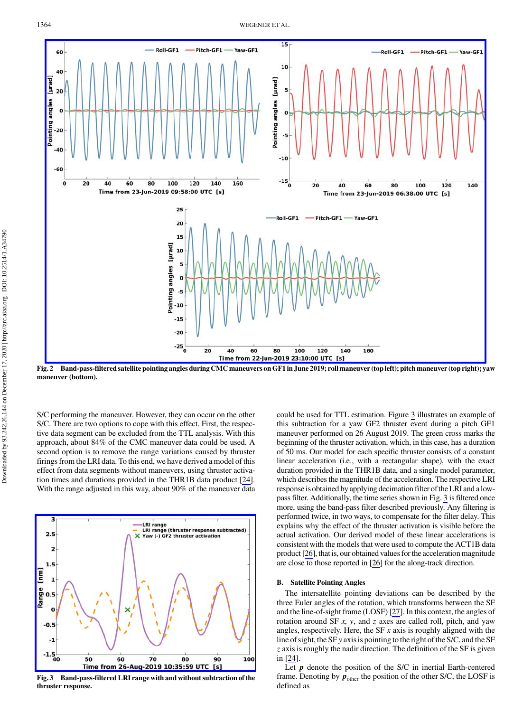<span id="page-2-0"></span>

Fig. 2 Band-pass-filtered satellite pointing angles during CMC maneuvers on GF1 in June 2019; roll maneuver (top left); pitch maneuver (top right); yaw maneuver (bottom).

S/C performing the maneuver. However, they can occur on the other S/C. There are two options to cope with this effect. First, the respective data segment can be excluded from the TTL analysis. With this approach, about 84% of the CMC maneuver data could be used. A second option is to remove the range variations caused by thruster firings from the LRI data. To this end, we have derived a model of this effect from data segments without maneuvers, using thruster activation times and durations provided in the THR1B data product [\[24](#page-9-0)]. With the range adjusted in this way, about 90% of the maneuver data



Fig. 3 Band-pass-filtered LRI range with and without subtraction of the thruster response.

could be used for TTL estimation. Figure 3 illustrates an example of this subtraction for a yaw GF2 thruster event during a pitch GF1 maneuver performed on 26 August 2019. The green cross marks the beginning of the thruster activation, which, in this case, has a duration of 50 ms. Our model for each specific thruster consists of a constant linear acceleration (i.e., with a rectangular shape), with the exact duration provided in the THR1B data, and a single model parameter, which describes the magnitude of the acceleration. The respective LRI responseis obtained by applying decimation filter of the LRI and a lowpass filter. Additionally, the time series shown in Fig. 3 is filtered once more, using the band-pass filter described previously. Any filtering is performed twice, in two ways, to compensate for the filter delay. This explains why the effect of the thruster activation is visible before the actual activation. Our derived model of these linear accelerations is consistent with the models that were used to compute the ACT1B data product [\[26\]](#page-9-0), that is, our obtained values for the acceleration magnitude are close to those reported in [\[26\]](#page-9-0) for the along-track direction.

### B. Satellite Pointing Angles

The intersatellite pointing deviations can be described by the three Euler angles of the rotation, which transforms between the SF and the line-of-sight frame (LOSF) [\[27](#page-9-0)]. In this context, the angles of rotation around SF  $x$ ,  $y$ , and  $z$  axes are called roll, pitch, and yaw angles, respectively. Here, the SF  $x$  axis is roughly aligned with the line of sight, the SF y axis is pointing to the right of the S/C, and the SF z axis is roughly the nadir direction. The definition of the SF is given in [[24](#page-9-0)].

Let  $p$  denote the position of the S/C in inertial Earth-centered frame. Denoting by  $p_{other}$  the position of the other S/C, the LOSF is defined as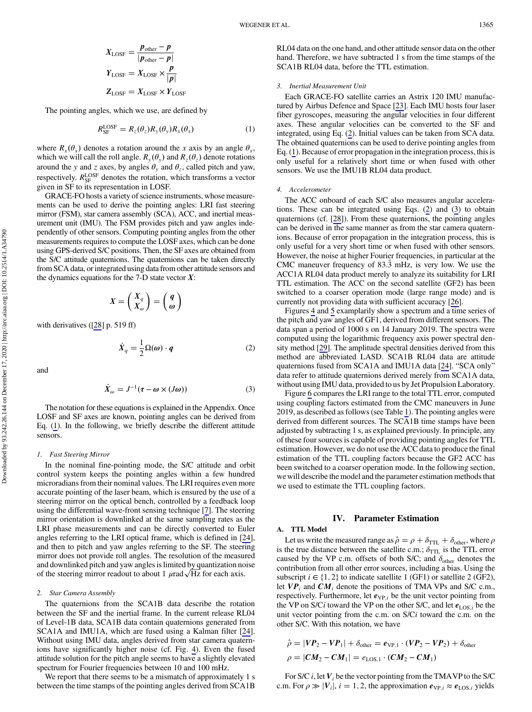<span id="page-3-0"></span>
$$
X_{\text{LOSF}} = \frac{p_{\text{other}} - p}{|p_{\text{other}} - p|}
$$

$$
Y_{\text{LOSF}} = X_{\text{LOSF}} \times \frac{p}{|p|}
$$

$$
Z_{\text{LOSF}} = X_{\text{LOSF}} \times Y_{\text{LOSF}}
$$

The pointing angles, which we use, are defined by

$$
R_{\rm SF}^{\rm LOSF} = R_z(\theta_z) R_y(\theta_y) R_x(\theta_x)
$$
 (1)

where  $R_x(\theta_x)$  denotes a rotation around the x axis by an angle  $\theta_x$ , which we will call the roll angle.  $R_y(\theta_y)$  and  $R_z(\theta_z)$  denote rotations around the y and z axes, by angles  $\theta_y$  and  $\theta_z$ , called pitch and yaw, respectively.  $R_{SF}^{LOSF}$  denotes the rotation, which transforms a vector given in SF to its representation in LOSF.

GRACE-FO hosts a variety of science instruments, whose measurements can be used to derive the pointing angles: LRI fast steering mirror (FSM), star camera assembly (SCA), ACC, and inertial measurement unit (IMU). The FSM provides pitch and yaw angles independently of other sensors. Computing pointing angles from the other measurements requires to compute the LOSF axes, which can be done using GPS-derived S/C positions. Then, the SF axes are obtained from the S/C attitude quaternions. The quaternions can be taken directly from SCA data, or integrated using data from other attitude sensors and the dynamics equations for the  $7$ -D state vector  $X$ :

$$
X = \begin{pmatrix} X_q \\ X_\omega \end{pmatrix} = \begin{pmatrix} q \\ \omega \end{pmatrix}
$$

with derivatives ([\[28\]](#page-9-0) p. 519 ff)

$$
\dot{X}_q = \frac{1}{2} \Omega(\omega) \cdot q \tag{2}
$$

and

$$
\dot{X}_{\omega} = J^{-1}(\tau - \omega \times (J\omega))
$$
 (3)

The notation for these equations is explained in the Appendix. Once LOSF and SF axes are known, pointing angles can be derived from Eq. (1). In the following, we briefly describe the different attitude sensors.

#### 1. Fast Steering Mirror

In the nominal fine-pointing mode, the S/C attitude and orbit control system keeps the pointing angles within a few hundred microradians from their nominal values. The LRI requires even more accurate pointing of the laser beam, which is ensured by the use of a steering mirror on the optical bench, controlled by a feedback loop using the differential wave-front sensing technique [[7](#page-9-0)]. The steering mirror orientation is downlinked at the same sampling rates as the LRI phase measurements and can be directly converted to Euler angles referring to the LRI optical frame, which is defined in [\[24](#page-9-0)], and then to pitch and yaw angles referring to the SF. The steering mirror does not provide roll angles. The resolution of the measured and downlinked pitch and yaw angles is limited by quantization noise of the steering mirror readout to about 1  $\mu$ rad $\sqrt{Hz}$  for each axis.

#### 2. Star Camera Assembly

The quaternions from the SCA1B data describe the rotation between the SF and the inertial frame. In the current release RL04 of Level-1B data, SCA1B data contain quaternions generated from SCA1A and IMU1A, which are fused using a Kalman filter [\[24](#page-9-0)]. Without using IMU data, angles derived from star camera quaternions have significantly higher noise (cf. Fig. [4](#page-4-0)). Even the fused attitude solution for the pitch angle seems to have a slightly elevated spectrum for Fourier frequencies between 10 and 100 mHz.

We report that there seems to be a mismatch of approximately 1 s between the time stamps of the pointing angles derived from SCA1B

#### 3. Inertial Measurement Unit

Each GRACE-FO satellite carries an Astrix 120 IMU manufactured by Airbus Defence and Space [[23\]](#page-9-0). Each IMU hosts four laser fiber gyroscopes, measuring the angular velocities in four different axes. These angular velocities can be converted to the SF and integrated, using Eq. (2). Initial values can be taken from SCA data. The obtained quaternions can be used to derive pointing angles from Eq. (1). Because of error propagation in the integration process, this is only useful for a relatively short time or when fused with other sensors. We use the IMU1B RL04 data product.

#### 4. Accelerometer

The ACC onboard of each S/C also measures angular accelerations. These can be integrated using Eqs. (2) and (3) to obtain quaternions (cf. [\[28](#page-9-0)]). From these quaternions, the pointing angles can be derived in the same manner as from the star camera quaternions. Because of error propagation in the integration process, this is only useful for a very short time or when fused with other sensors. However, the noise at higher Fourier frequencies, in particular at the CMC maneuver frequency of  $83.\overline{3}$  mHz, is very low. We use the ACC1A RL04 data product merely to analyze its suitability for LRI TTL estimation. The ACC on the second satellite (GF2) has been switched to a coarser operation mode (large range mode) and is currently not providing data with sufficient accuracy [[26\]](#page-9-0).

Figures [4](#page-4-0) and [5](#page-4-0) examplarily show a spectrum and a time series of the pitch and yaw angles of GF1, derived from different sensors. The data span a period of 1000 s on 14 January 2019. The spectra were computed using the logarithmic frequency axis power spectral density method [\[29](#page-9-0)]. The amplitude spectral densities derived from this method are abbreviated LASD. SCA1B RL04 data are attitude quaternions fused from SCA1A and IMU1A data [[24\]](#page-9-0). "SCA only" data refer to attitude quaternions derived merely from SCA1A data, without using IMU data, provided to us by Jet Propulsion Laboratory.

Figure [6](#page-4-0) compares the LRI range to the total TTL error, computed using coupling factors estimated from the CMC maneuvers in June 2019, as described as follows (see Table [1](#page-5-0)). The pointing angles were derived from different sources. The SCA1B time stamps have been adjusted by subtracting 1 s, as explained previously. In principle, any of these four sources is capable of providing pointing angles for TTL estimation. However, we do not use the ACC data to produce the final estimation of the TTL coupling factors because the GF2 ACC has been switched to a coarser operation mode. In the following section, we will describe the model and the parameter estimation methods that we used to estimate the TTL coupling factors.

# IV. Parameter Estimation

# A. TTL Model

Let us write the measured range as  $\hat{\rho} = \rho + \delta_{\text{TTL}} + \delta_{\text{other}}$ , where  $\rho$  the true distance between the satellite c m :  $\delta_{\text{true}}$  is the TTL error is the true distance between the satellite c.m.;  $\delta_{\text{TTL}}$  is the TTL error caused by the VP c.m. offsets of both S/C; and  $\delta_{other}$  denotes the contribution from all other error sources, including a bias. Using the subscript  $i \in \{1, 2\}$  to indicate satellite 1 (GF1) or satellite 2 (GF2), let  $VP_i$  and  $CM_i$  denote the positions of TMA VPs and S/C c.m., respectively. Furthermore, let  $e_{VP,i}$  be the unit vector pointing from the VP on S/Ci toward the VP on the other S/C, and let  $e_{\text{LOS},i}$  be the unit vector pointing from the c.m. on S/Ci toward the c.m. on the other S/C. With this notation, we have

$$
\hat{\rho} = |VP_2 - VP_1| + \delta_{\text{other}} = e_{\text{VP}_1} \cdot (VP_2 - VP_2) + \delta_{\text{other}}
$$
  

$$
\rho = |CM_2 - CM_1| = e_{\text{LOS},1} \cdot (CM_2 - CM_1)
$$

For S/C i, let  $V_i$  be the vector pointing from the TMAVP to the S/C c.m. For  $\rho \gg |V_i|$ ,  $i = 1, 2$ , the approximation  $e_{VP,i} \approx e_{LOS,i}$  yields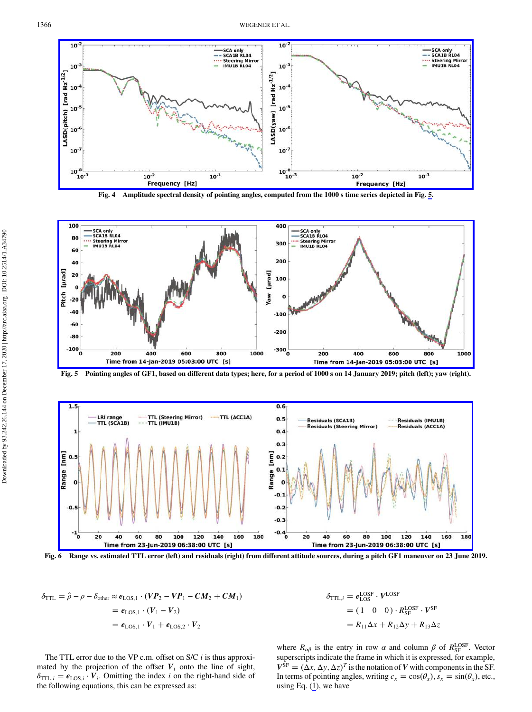<span id="page-4-0"></span>





Fig. 5 Pointing angles of GF1, based on different data types; here, for a period of 1000 s on 14 January 2019; pitch (left); yaw (right).





$$
\delta_{\text{TTL}} = \hat{\rho} - \rho - \delta_{\text{other}} \approx \boldsymbol{e}_{\text{LOS},1} \cdot (\boldsymbol{V} \boldsymbol{P}_2 - \boldsymbol{V} \boldsymbol{P}_1 - \boldsymbol{C} \boldsymbol{M}_2 + \boldsymbol{C} \boldsymbol{M}_1)
$$
  
=  $\boldsymbol{e}_{\text{LOS},1} \cdot (\boldsymbol{V}_1 - \boldsymbol{V}_2)$   
=  $\boldsymbol{e}_{\text{LOS},1} \cdot \boldsymbol{V}_1 + \boldsymbol{e}_{\text{LOS},2} \cdot \boldsymbol{V}_2$ 

$$
\delta_{\text{TTL},i} = e_{\text{LOS}}^{\text{LOSF}} \cdot V^{\text{LOSF}}
$$
  
= (1 0 0) ·  $R_{\text{SF}}^{\text{LOSF}} \cdot V^{\text{SF}}$   
=  $R_{11} \Delta x + R_{12} \Delta y + R_{13} \Delta z$ 

The TTL error due to the VP c.m. offset on  $S/C$  *i* is thus approximated by the projection of the offset  $V_i$  onto the line of sight,  $\delta_{\text{TTL},i} = e_{\text{LOS},i} \cdot \vec{V}_i$ . Omitting the index *i* on the right-hand side of the following equations, this can be expressed as: the following equations, this can be expressed as:

where  $R_{\alpha\beta}$  is the entry in row  $\alpha$  and column  $\beta$  of  $R_{\rm SF}^{\rm LOSF}$ . Vector superscripts indicate the frame in which it is expressed, for example,  $V^{\overline{S}F} = (\Delta x, \Delta y, \Delta z)^T$  is the notation of V with components in the SF.<br>In terms of pointing angles, writing  $c = \cos(\theta)$ ,  $s = \sin(\theta)$ , etc. In terms of pointing angles, writing  $c_x = \cos(\theta_x)$ ,  $s_x = \sin(\theta_x)$ , etc., using Eq. [\(1\)](#page-3-0), we have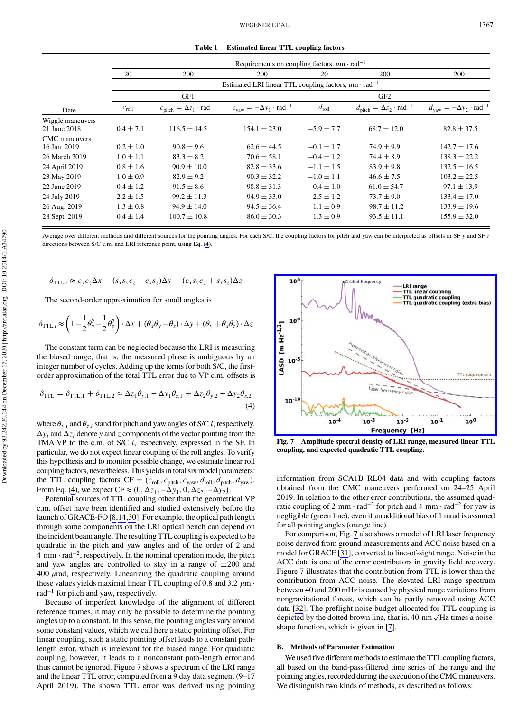Table 1 Estimated linear TTL coupling factors

<span id="page-5-0"></span>

|                                      | Requirements on coupling factors, $\mu$ m · rad <sup>-1</sup>          |                                                       |                                                      |                   |                                                       |                                                      |
|--------------------------------------|------------------------------------------------------------------------|-------------------------------------------------------|------------------------------------------------------|-------------------|-------------------------------------------------------|------------------------------------------------------|
|                                      | 20                                                                     | 200                                                   | 200                                                  | 20                | 200                                                   | 200                                                  |
|                                      | Estimated LRI linear TTL coupling factors, $\mu$ m · rad <sup>-1</sup> |                                                       |                                                      |                   |                                                       |                                                      |
|                                      |                                                                        | GF1                                                   |                                                      |                   | GF <sub>2</sub>                                       |                                                      |
| Date                                 | $c_{\text{roll}}$                                                      | $c_{\text{pitch}} = \Delta z_1 \cdot \text{rad}^{-1}$ | $c_{\text{yaw}} = -\Delta y_1 \cdot \text{rad}^{-1}$ | $d_{\text{roll}}$ | $d_{\text{pitch}} = \Delta z_2 \cdot \text{rad}^{-1}$ | $d_{\text{yaw}} = -\Delta y_2 \cdot \text{rad}^{-1}$ |
| Wiggle maneuvers<br>21 June 2018     | $0.4 \pm 7.1$                                                          | $116.5 \pm 14.5$                                      | $154.1 \pm 23.0$                                     | $-5.9 \pm 7.7$    | $68.7 \pm 12.0$                                       | $82.8 \pm 37.5$                                      |
| <b>CMC</b> maneuvers<br>16 Jan. 2019 | $0.2 \pm 1.0$                                                          | $90.8 \pm 9.6$                                        | $62.6 \pm 44.5$                                      | $-0.1 \pm 1.7$    | $74.9 \pm 9.9$                                        | $142.7 \pm 17.6$                                     |
| 26 March 2019                        | $1.0 \pm 1.1$                                                          | $83.3 \pm 8.2$                                        | $70.6 \pm 58.1$                                      | $-0.4 \pm 1.2$    | $74.4 \pm 8.9$                                        | $138.3 \pm 22.2$                                     |
| 24 April 2019                        | $0.8 \pm 1.6$                                                          | $90.9 \pm 10.0$                                       | $82.8 \pm 33.6$                                      | $-1.1 \pm 1.5$    | $83.9 \pm 9.8$                                        | $132.5 \pm 16.5$                                     |
| 23 May 2019                          | $1.0 \pm 0.9$                                                          | $82.9 \pm 9.2$                                        | $90.3 \pm 32.2$                                      | $-1.0 \pm 1.1$    | $46.6 \pm 7.5$                                        | $103.2 \pm 22.5$                                     |
| 22 June 2019                         | $-0.4 \pm 1.2$                                                         | $91.5 \pm 8.6$                                        | $98.8 \pm 31.3$                                      | $0.4 \pm 1.0$     | $61.0 \pm 54.7$                                       | $97.1 \pm 13.9$                                      |
| 24 July 2019                         | $2.2 \pm 1.5$                                                          | $99.2 \pm 11.3$                                       | $94.9 \pm 33.0$                                      | $2.5 \pm 1.2$     | $73.7 \pm 9.0$                                        | $133.4 \pm 17.0$                                     |
| 26 Aug. 2019                         | $1.3 \pm 0.8$                                                          | $94.9 \pm 14.0$                                       | $94.5 \pm 36.4$                                      | $1.1 \pm 0.9$     | $98.7 \pm 11.2$                                       | $133.9 \pm 19.6$                                     |
| 28 Sept. 2019                        | $0.4 \pm 1.4$                                                          | $100.7 \pm 10.8$                                      | $86.0 \pm 30.3$                                      | $1.3 \pm 0.9$     | $93.5 \pm 11.1$                                       | $155.9 \pm 32.0$                                     |

Average over different methods and different sources for the pointing angles. For each S/C, the coupling factors for pitch and yaw can be interpreted as offsets in SF y and SF z directions between S/C c.m. and LRI reference point, using Eq. (4).

$$
\delta_{\text{TTL},i} \approx c_y c_z \Delta x + (s_x s_y c_z - c_x s_z) \Delta y + (c_x s_y c_z + s_x s_z) \Delta z
$$

The second-order approximation for small angles is

$$
\delta_{\text{TTL},i} \approx \left(1 - \frac{1}{2}\theta_{y}^{2} - \frac{1}{2}\theta_{z}^{2}\right) \cdot \Delta x + \left(\theta_{x}\theta_{y} - \theta_{z}\right) \cdot \Delta y + \left(\theta_{y} + \theta_{x}\theta_{z}\right) \cdot \Delta z
$$

The constant term can be neglected because the LRI is measuring the biased range, that is, the measured phase is ambiguous by an integer number of cycles. Adding up the terms for both S/C, the firstorder approximation of the total TTL error due to VP c.m. offsets is

$$
\delta_{\text{TTL}} = \delta_{\text{TTL},1} + \delta_{\text{TTL},2} \approx \Delta z_1 \theta_{y,1} - \Delta y_1 \theta_{z,1} + \Delta z_2 \theta_{y,2} - \Delta y_2 \theta_{z,2}
$$
\n(4)

where  $\theta_{y,i}$  and  $\theta_{z,i}$  stand for pitch and yaw angles of S/C *i*, respectively.  $\Delta y_i$  and  $\Delta z_i$  denote y and z components of the vector pointing from the TMA VP to the c.m. of  $S/C$  *i*, respectively, expressed in the SF. In particular, we do not expect linear coupling of the roll angles. To verify this hypothesis and to monitor possible change, we estimate linear roll coupling factors, nevertheless. This yields in total six model parameters: the TTL coupling factors  $CF = (c_{roll}, c_{pitch}, c_{yaw}, d_{roll}, d_{pitch}, d_{yaw})$ .<br>From Eq. (4), we expect  $CF \approx (0, \Delta z, -\Delta y, 0, \Delta z, -\Delta y)$ . From Eq. (4), we expect CF  $\approx$  (0,  $\Delta z_1$ ,  $-\Delta y_1$ , 0,  $\Delta z_2$ ,  $-\Delta y_2$ ).

Potential sources of TTL coupling other than the geometrical VP c.m. offset have been identified and studied extensively before the launch of GRACE-FO [\[8,14,30\]](#page-9-0). For example, the optical path length through some components on the LRI optical bench can depend on the incident beam angle. The resulting TTL coupling is expected to be quadratic in the pitch and yaw angles and of the order of 2 and  $4 \text{ mm} \cdot \text{rad}^{-2}$ , respectively. In the nominal operation mode, the pitch and yaw angles are controlled to stay in a range of  $\pm 200$  and  $400 \mu$ rad, respectively. Linearizing the quadratic coupling around these values yields maximal linear TTL coupling of 0.8 and 3.2  $\mu$ m ⋅ rad<sup>−</sup><sup>1</sup> for pitch and yaw, respectively.

Because of imperfect knowledge of the alignment of different reference frames, it may only be possible to determine the pointing angles up to a constant. In this sense, the pointing angles vary around some constant values, which we call here a static pointing offset. For linear coupling, such a static pointing offset leads to a constant pathlength error, which is irrelevant for the biased range. For quadratic coupling, however, it leads to a nonconstant path-length error and thus cannot be ignored. Figure 7 shows a spectrum of the LRI range and the linear TTL error, computed from a 9 day data segment (9–17 April 2019). The shown TTL error was derived using pointing



Fig. 7 Amplitude spectral density of LRI range, measured linear TTL coupling, and expected quadratic TTL coupling.

information from SCA1B RL04 data and with coupling factors obtained from the CMC maneuvers performed on 24–25 April 2019. In relation to the other error contributions, the assumed quadratic coupling of 2 mm ⋅ rad<sup>−</sup><sup>2</sup> for pitch and 4 mm ⋅ rad<sup>−</sup><sup>2</sup> for yaw is negligible (green line), even if an additional bias of 1 mrad is assumed for all pointing angles (orange line).

For comparison, Fig. 7 also shows a model of LRI laser frequency noise derived from ground measurements and ACC noise based on a model for GRACE [\[31](#page-9-0)], converted to line-of-sight range. Noise in the ACC data is one of the error contributors in gravity field recovery. Figure 7 illustrates that the contribution from TTL is lower than the contribution from ACC noise. The elevated LRI range spectrum between 40 and 200 mHz is caused by physical range variations from nongravitational forces, which can be partly removed using ACC data [[32\]](#page-10-0). The preflight noise budget allocated for TTL coupling is depicted by the dotted brown line, that is, 40 nm $\sqrt{Hz}$  times a noiseshape function, which is given in [[7](#page-9-0)].

#### B. Methods of Parameter Estimation

We used five different methods to estimate the TTL coupling factors, all based on the band-pass-filtered time series of the range and the pointing angles, recorded during the execution of the CMC maneuvers. We distinguish two kinds of methods, as described as follows: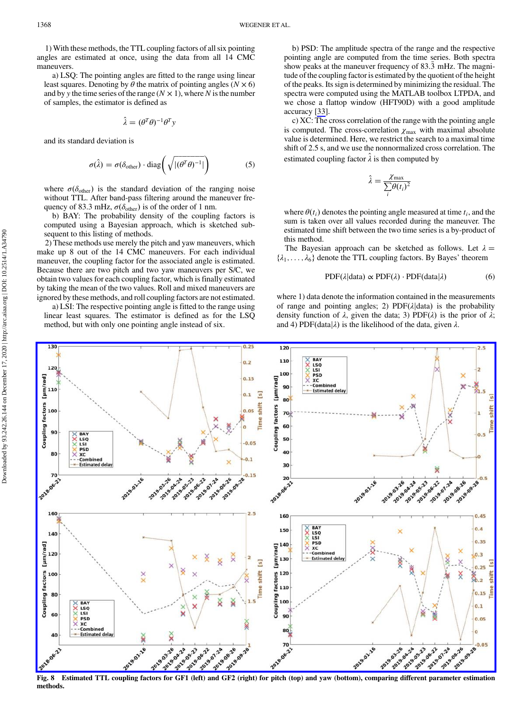<span id="page-6-0"></span>1) With these methods, the TTL coupling factors of all six pointing angles are estimated at once, using the data from all 14 CMC maneuvers.

a) LSQ: The pointing angles are fitted to the range using linear least squares. Denoting by  $\theta$  the matrix of pointing angles ( $N \times 6$ ) and by y the time series of the range ( $N \times 1$ ), where N is the number of samples, the estimator is defined as

$$
\hat{\lambda} = (\theta^T \theta)^{-1} \theta^T y
$$

and its standard deviation is

$$
\sigma(\hat{\lambda}) = \sigma(\delta_{\text{other}}) \cdot \text{diag}\left(\sqrt{|(\theta^T \theta)^{-1}|}\right) \tag{5}
$$

where  $\sigma(\delta_{other})$  is the standard deviation of the ranging noise without TTL. After band-pass filtering around the maneuver frequency of 83.3 mHz,  $\sigma(\delta_{other})$  is of the order of 1 nm.

b) BAY: The probability density of the coupling factors is computed using a Bayesian approach, which is sketched subsequent to this listing of methods.

2) These methods use merely the pitch and yaw maneuvers, which make up 8 out of the 14 CMC maneuvers. For each individual maneuver, the coupling factor for the associated angle is estimated. Because there are two pitch and two yaw maneuvers per S/C, we obtain two values for each coupling factor, which is finally estimated by taking the mean of the two values. Roll and mixed maneuvers are ignored by these methods, and roll coupling factors are not estimated.

a) LSI: The respective pointing angle is fitted to the range using linear least squares. The estimator is defined as for the LSQ method, but with only one pointing angle instead of six.

b) PSD: The amplitude spectra of the range and the respective pointing angle are computed from the time series. Both spectra show peaks at the maneuver frequency of  $83.\overline{3}$  mHz. The magnitude of the coupling factor is estimated by the quotient of the height of the peaks. Its sign is determined by minimizing the residual. The spectra were computed using the MATLAB toolbox LTPDA, and we chose a flattop window (HFT90D) with a good amplitude accuracy [[33\]](#page-10-0).

c) XC: The cross correlation of the range with the pointing angle is computed. The cross-correlation  $\chi_{\text{max}}$  with maximal absolute value is determined. Here, we restrict the search to a maximal time shift of 2.5 s, and we use the nonnormalized cross correlation. The estimated coupling factor  $\hat{\lambda}$  is then computed by

$$
\hat{\lambda} = \frac{\chi_{\text{max}}}{\sum_{i} \theta(t_i)^2}
$$

where  $\theta(t_i)$  denotes the pointing angle measured at time  $t_i$ , and the sum is taken over all values recorded during the maneuver. The estimated time shift between the two time series is a by-product of this method.

The Bayesian approach can be sketched as follows. Let  $\lambda =$ <br> $\lambda \lambda$  denote the TTL coupling factors. By Bayes' theorem  $\{\lambda_1,\ldots,\lambda_6\}$  denote the TTL coupling factors. By Bayes' theorem

$$
PDF(\lambda | data) \propto PDF(\lambda) \cdot PDF(data|\lambda)
$$
 (6)

where 1) data denote the information contained in the measurements of range and pointing angles; 2)  $PDF(\lambda|data)$  is the probability density function of  $\lambda$ , given the data; 3) PDF( $\lambda$ ) is the prior of  $\lambda$ ; and 4) PDF(data $|\lambda\rangle$  is the likelihood of the data, given  $\lambda$ .



methods.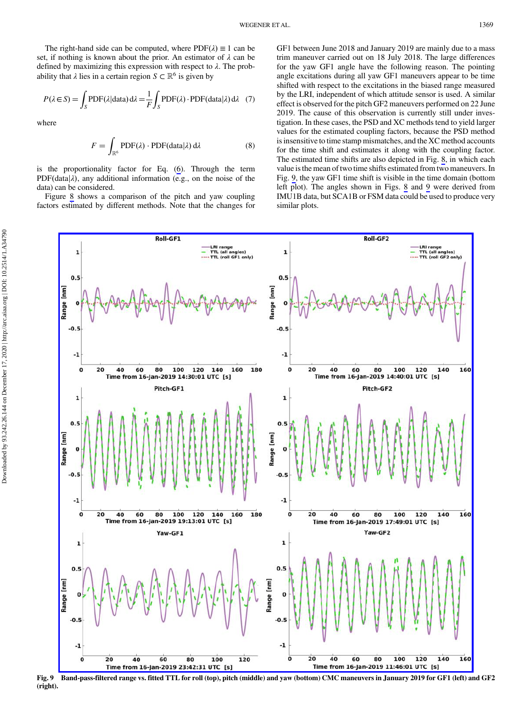<span id="page-7-0"></span>
$$
P(\lambda \in S) = \int_{S} \text{PDF}(\lambda | \text{data}) \, d\lambda = \frac{1}{F} \int_{S} \text{PDF}(\lambda) \cdot \text{PDF}(\text{data} | \lambda) \, d\lambda \quad (7)
$$

where

$$
F = \int_{\mathbb{R}^6} \text{PDF}(\lambda) \cdot \text{PDF}(\text{data}|\lambda) \, d\lambda \tag{8}
$$

is the proportionality factor for Eq. [\(6\)](#page-6-0). Through the term  $PDF(data|\lambda)$ , any additional information (e.g., on the noise of the data) can be considered.

Figure [8](#page-6-0) shows a comparison of the pitch and yaw coupling factors estimated by different methods. Note that the changes for GF1 between June 2018 and January 2019 are mainly due to a mass trim maneuver carried out on 18 July 2018. The large differences for the yaw GF1 angle have the following reason. The pointing angle excitations during all yaw GF1 maneuvers appear to be time shifted with respect to the excitations in the biased range measured by the LRI, independent of which attitude sensor is used. A similar effect is observed for the pitch GF2 maneuvers performed on 22 June 2019. The cause of this observation is currently still under investigation. In these cases, the PSD and XC methods tend to yield larger values for the estimated coupling factors, because the PSD method is insensitive to time stamp mismatches, and the XC method accounts for the time shift and estimates it along with the coupling factor. The estimated time shifts are also depicted in Fig. [8,](#page-6-0) in which each value is the mean of two time shifts estimated from two maneuvers. In Fig. 9, the yaw GF1 time shift is visible in the time domain (bottom left plot). The angles shown in Figs. [8](#page-6-0) and 9 were derived from IMU1B data, but SCA1B or FSM data could be used to produce very similar plots.



Fig. 9 Band-pass-filtered range vs. fitted TTL for roll (top), pitch (middle) and yaw (bottom) CMC maneuvers in January 2019 for GF1 (left) and GF2 (right).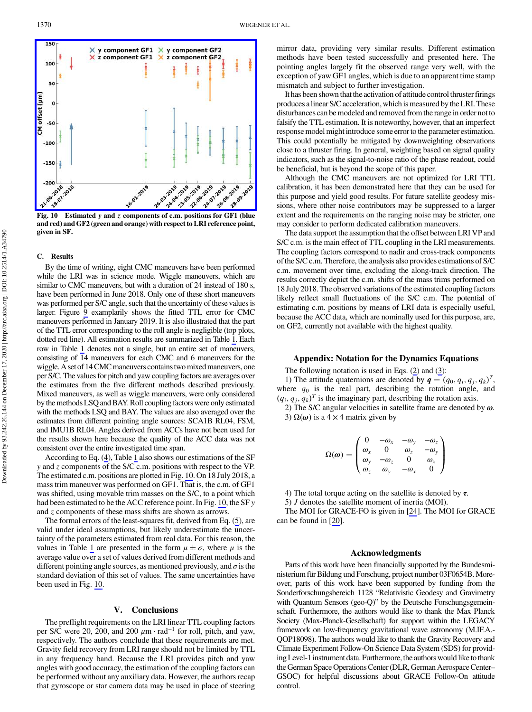$\times$  y component GF1  $\times$  y component GF2<br> $\times$  z component GF1  $\times$  z component GF2  $\times$  z component GF1 100 50 CM offset [µm  $\mathbf 0$  $-50$  $-100$  $-150$  $F$ ig. 10 Estimated y and z components of c.m. positions for GF1 (blue **16.01.2019** 

and red) and GF2 (green and orange) with respect to LRI reference point, given in SF.

## C. Results

By the time of writing, eight CMC maneuvers have been performed while the LRI was in science mode. Wiggle maneuvers, which are similar to CMC maneuvers, but with a duration of 24 instead of 180 s, have been performed in June 2018. Only one of these short maneuvers was performed per S/C angle, such that the uncertainty of these values is larger. Figure [9](#page-7-0) examplarily shows the fitted TTL error for CMC maneuvers performed in January 2019. It is also illustrated that the part of the TTL error corresponding to the roll angle is negligible (top plots, dotted red line). All estimation results are summarized in Table [1](#page-5-0). Each row in Table [1](#page-5-0) denotes not a single, but an entire set of maneuvers, consisting of 14 maneuvers for each CMC and 6 maneuvers for the wiggle. A set of 14CMC maneuvers containstwo mixed maneuvers, one per S/C. The values for pitch and yaw coupling factors are averages over the estimates from the five different methods described previously. Mixed maneuvers, as well as wiggle maneuvers, were only considered by the methods LSQ and BAY. Roll coupling factors were only estimated with the methods LSQ and BAY. The values are also averaged over the estimates from different pointing angle sources: SCA1B RL04, FSM, and IMU1B RL04. Angles derived from ACCs have not been used for the results shown here because the quality of the ACC data was not consistent over the entire investigated time span.

According to Eq. [\(4\)](#page-5-0), Table [1](#page-5-0) also shows our estimations of the SF y and z components of the S/C c.m. positions with respect to the VP. The estimated c.m. positions are plotted in Fig. 10. On 18 July 2018, a mass trim maneuver was performed on GF1. That is, the c.m. of GF1 was shifted, using movable trim masses on the S/C, to a point which had been estimated to be the ACC reference point. In Fig. 10, the SF y and z components of these mass shifts are shown as arrows.

The formal errors of the least-squares fit, derived from Eq. [\(5\)](#page-6-0), are valid under ideal assumptions, but likely underestimate the uncertainty of the parameters estimated from real data. For this reason, the values in Table [1](#page-5-0) are presented in the form  $\mu \pm \sigma$ , where  $\mu$  is the average value over a set of values derived from different methods and different pointing angle sources, as mentioned previously, and  $\sigma$  is the standard deviation of this set of values. The same uncertainties have been used in Fig. 10.

#### V. Conclusions

The preflight requirements on the LRI linear TTL coupling factors per S/C were 20, 200, and 200  $\mu$ m · rad<sup>-1</sup> for roll, pitch, and yaw, respectively. The authors conclude that these requirements are met. Gravity field recovery from LRI range should not be limited by TTL in any frequency band. Because the LRI provides pitch and yaw angles with good accuracy, the estimation of the coupling factors can be performed without any auxiliary data. However, the authors recap that gyroscope or star camera data may be used in place of steering mirror data, providing very similar results. Different estimation methods have been tested successfully and presented here. The pointing angles largely fit the observed range very well, with the exception of yaw GF1 angles, which is due to an apparent time stamp mismatch and subject to further investigation.

It has been shown that the activation of attitude control thruster firings produces a linear S/C acceleration, which is measured by the LRI. These disturbances can be modeled and removed from the range in order not to falsify the TTL estimation. It is noteworthy, however, that an imperfect response model might introduce some error to the parameter estimation. This could potentially be mitigated by downweighting observations close to a thruster firing. In general, weighting based on signal quality indicators, such as the signal-to-noise ratio of the phase readout, could be beneficial, but is beyond the scope of this paper.

Although the CMC maneuvers are not optimized for LRI TTL calibration, it has been demonstrated here that they can be used for this purpose and yield good results. For future satellite geodesy missions, where other noise contributors may be suppressed to a larger extent and the requirements on the ranging noise may be stricter, one may consider to perform dedicated calibration maneuvers.

The data support the assumption that the offset between LRI VP and S/C c.m. is the main effect of TTL coupling in the LRI measurements. The coupling factors correspond to nadir and cross-track components of the S/C c.m. Therefore, the analysis also provides estimations of S/C c.m. movement over time, excluding the along-track direction. The results correctly depict the c.m. shifts of the mass trims performed on 18 July 2018. The observed variations of the estimated coupling factors likely reflect small fluctuations of the S/C c.m. The potential of estimating c.m. positions by means of LRI data is especially useful, because the ACC data, which are nominally used for this purpose, are, on GF2, currently not available with the highest quality.

## Appendix: Notation for the Dynamics Equations

The following notation is used in Eqs. [\(2\)](#page-3-0) and ([3](#page-3-0)):

1) The attitude quaternions are denoted by  $q = (q_0, q_i, q_j, q_k)^T$ ,<br>here  $q_0$  is the real part describing the rotation angle and where  $q_0$  is the real part, describing the rotation angle, and  $(q_i, q_j, q_k)^T$  is the imaginary part, describing the rotation axis.

2) The S/C angular velocities in satellite frame are denoted by  $\omega$ . 3)  $\Omega(\omega)$  is a 4 × 4 matrix given by

$$
\Omega(\omega) = \begin{pmatrix}\n0 & -\omega_x & -\omega_y & -\omega_z \\
\omega_x & 0 & \omega_z & -\omega_y \\
\omega_y & -\omega_z & 0 & \omega_x \\
\omega_z & \omega_y & -\omega_x & 0\n\end{pmatrix}
$$

4) The total torque acting on the satellite is denoted by  $τ$ .

5) J denotes the satellite moment of inertia (MOI).

The MOI for GRACE-FO is given in [\[24\]](#page-9-0). The MOI for GRACE can be found in [[20\]](#page-9-0).

#### Acknowledgments

Parts of this work have been financially supported by the Bundesministerium für Bildung und Forschung, project number 03F0654B. Moreover, parts of this work have been supported by funding from the Sonderforschungsbereich 1128 "Relativistic Geodesy and Gravimetry with Quantum Sensors (geo-Q)" by the Deutsche Forschungsgemeinschaft. Furthermore, the authors would like to thank the Max Planck Society (Max-Planck-Gesellschaft) for support within the LEGACY framework on low-frequency gravitational wave astronomy (M.IF.A.- QOP18098). The authors would like to thank the Gravity Recovery and Climate Experiment Follow-On Science Data System (SDS) for providing Level-1 instrument data. Furthermore, the authors would like to thank the German Space Operations Center (DLR, German Aerospace Center– GSOC) for helpful discussions about GRACE Follow-On attitude control.



 $150$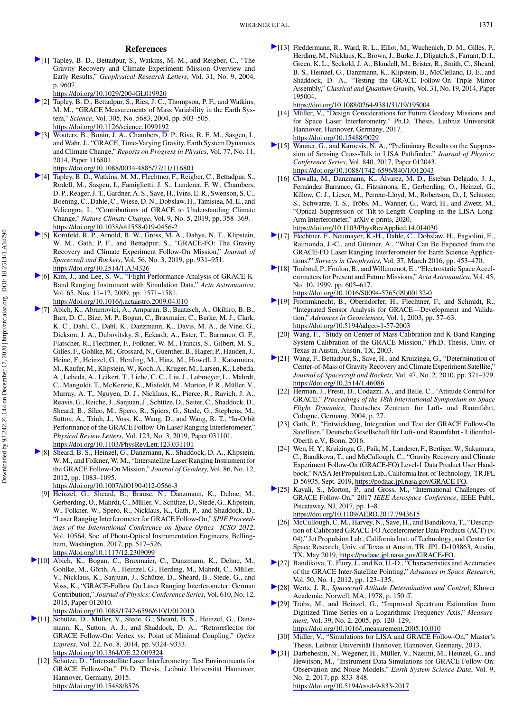# References

<span id="page-9-0"></span>[1] Tapley, B. D., Bettadpur, S., Watkins, M. M., and Reigber, C., "The Gravity Recovery and Climate Experiment: Mission Overview and Early Results," Geophysical Research Letters, Vol. 31, No. 9, 2004, p. 9607.

<https://doi.org/10.1029/2004GL019920>

- [2] Tapley, B. D., Bettadpur, S., Ries, J. C., Thompson, P. F., and Watkins, M. M., "GRACE Measurements of Mass Variability in the Earth System," Science, Vol. 305, No. 5683, 2004, pp. 503–505. <https://doi.org/10.1126/science.1099192>
- [3] Wouters, B., Bonin, J. A., Chambers, D. P., Riva, R. E. M., Sasgen, I., and Wahr, J., "GRACE, Time-Varying Gravity, Earth System Dynamics and Climate Change," Reports on Progress in Physics, Vol. 77, No. 11, 2014, Paper 116801.

<https://doi.org/10.1088/0034-4885/77/11/116801>

- [4] Tapley, B. D., Watkins, M. M., Flechtner, F., Reigber, C., Bettadpur, S., Rodell, M., Sasgen, I., Famiglietti, J. S., Landerer, F. W., Chambers, D. P., Reager, J. T., Gardner, A. S., Save, H., Ivins, E. R., Swenson, S. C., Boening, C., Dahle, C., Wiese, D. N., Dobslaw, H., Tamisiea, M. E., and Velicogna, I., "Contributions of GRACE to Understanding Climate Change," Nature Climate Change, Vol. 9, No. 5, 2019, pp. 358–369. <https://doi.org/10.1038/s41558-019-0456-2>
- [5] Kornfeld, R. P., Arnold, B. W., Gross, M. A., Dahya, N. T., Klipstein, W. M., Gath, P. F., and Bettadpur, S., "GRACE-FO: The Gravity Recovery and Climate Experiment Follow-On Mission," Journal of Spacecraft and Rockets, Vol. 56, No. 3, 2019, pp. 931–951. <https://doi.org/10.2514/1.A34326>
- [6] Kim, J., and Lee, S. W., "Flight Performance Analysis of GRACE K-Band Ranging Instrument with Simulation Data," Acta Astronautica, Vol. 65, Nos. 11–12, 2009, pp. 1571–1581. <https://doi.org/10.1016/j.actaastro.2009.04.010>
- [7] Abich, K., Abramovici, A., Amparan, B., Baatzsch, A., Okihiro, B. B., Barr, D. C., Bize, M. P., Bogan, C., Braxmaier, C., Burke, M. J., Clark, K. C., Dahl, C., Dahl, K., Danzmann, K., Davis, M. A., de Vine, G., Dickson, J. A., Dubovitsky, S., Eckardt, A., Ester, T., Barranco, G. F., Flatscher, R., Flechtner, F., Folkner, W. M., Francis, S., Gilbert, M. S., Gilles, F., Gohlke, M., Grossard, N., Guenther, B., Hager, P., Hauden, J., Heine, F., Heinzel, G., Herding, M., Hinz, M., Howell, J., Katsumura, M., Kaufer, M., Klipstein,W., Koch, A., Kruger, M., Larsen, K., Lebeda, A., Lebeda, A., Leikert, T., Liebe, C. C., Liu, J., Lobmeyer, L., Mahrdt, C., Mangoldt, T., McKenzie, K., Misfeldt, M., Morton, P. R., Müller, V., Murray, A. T., Nguyen, D. J., Nicklaus, K., Pierce, R., Ravich, J. A., Reavis, G., Reiche, J., Sanjuan, J., Schütze, D., Seiter, C., Shaddock, D., Sheard, B., Sileo, M., Spero, R., Spiers, G., Stede, G., Stephens, M., Sutton, A., Trinh, J., Voss, K., Wang, D., and Wang, R. T., "In-Orbit Performance of the GRACE Follow-On Laser Ranging Interferometer," Physical Review Letters, Vol. 123, No. 3, 2019, Paper 031101. <https://doi.org/10.1103/PhysRevLett.123.031101>
- [8] Sheard, B. S., Heinzel, G., Danzmann, K., Shaddock, D. A., Klipstein, W. M., and Folkner, W. M., "Intersatellite Laser Ranging Instrument for the GRACE Follow-On Mission," Journal of Geodesy, Vol. 86, No. 12, 2012, pp. 1083–1095.

<https://doi.org/10.1007/s00190-012-0566-3>

- [9] Heinzel, G., Sheard, B., Brause, N., Danzmann, K., Dehne, M., Gerberding, O., Mahrdt, C., Müller, V., Schütze, D., Stede, G., Klipstein, W., Folkner, W., Spero, R., Nicklaus, K., Gath, P., and Shaddock, D., "Laser Ranging Interferometer for GRACE Follow-On," SPIE Proceed-Heinzel, G., Sheard, B., Brause, N., Danzmann, K., Dehne, M., Gerberding, O., Mahrdt, C., Müller, V., Schütze, D., Stede, G., Klipstein, W., Folkner, W., Spero, R., Nicklaus, K., Gath, P., and Shaddock, D., "Laser Ranging Vol. 10564, Soc. of Photo-Optical Instrumentation Engineers, Bellingham, Washington, 2017, pp. 517–526. <https://doi.org/10.1117/12.2309099>
- [10] Abich, K., Bogan, C., Braxmaier, C., Danzmann, K., Dehne, M., Gohlke, M., Görth, A., Heinzel, G., Herding, M., Mahrdt, C., Müller, V., Nicklaus, K., Sanjuan, J., Schütze, D., Sheard, B., Stede, G., and Voss, K., "GRACE-Follow On Laser Ranging Interferometer: German Contribution," Journal of Physics: Conference Series, Vol. 610, No. 12, 2015, Paper 012010.

<https://doi.org/10.1088/1742-6596/610/1/012010>

- [11] Schütze, D., Müller, V., Stede, G., Sheard, B. S., Heinzel, G., Danzmann, K., Sutton, A. J., and Shaddock, D. A., "Retroreflector for GRACE Follow-On: Vertex vs. Point of Minimal Coupling," Optics Express, Vol. 22, No. 8, 2014, pp. 9324–9333. <https://doi.org/10.1364/OE.22.009324>
- [12] Schütze, D., "Intersatellite Laser Interferometry: Test Environments for GRACE Follow-On," Ph.D. Thesis, Leibniz Universität Hannover, Hannover, Germany, 2015. <https://doi.org/10.15488/8576>

[13] Fleddermann, R., Ward, R. L., Elliot, M., Wuchenich, D. M., Gilles, F., Herding, M., Nicklaus, K., Brown, J., Burke, J., Dligatch, S., Farrant, D. I., Green, K. L., Seckold, J. A., Blundell, M., Brister, R., Smith, C., Sheard, B. S., Heinzel, G., Danzmann, K., Klipstein, B., McClelland, D. E., and Shaddock, D. A., "Testing the GRACE Follow-On Triple Mirror Assembly," Classical and Quantum Gravity, Vol. 31, No. 19, 2014, Paper 195004.

<https://doi.org/10.1088/0264-9381/31/19/195004>

- [14] Müller, V., "Design Considerations for Future Geodesy Missions and for Space Laser Interferometry," Ph.D. Thesis, Leibniz Universität Hannover, Hannover, Germany, 2017. <https://doi.org/10.15488/9029>
- [15] Wanner, G., and Karnesis, N. A., "Preliminary Results on the Suppression of Sensing Cross-Talk in LISA Pathfinder," Journal of Physics: Conference Series, Vol. 840, 2017, Paper 012043. <https://doi.org/10.1088/1742-6596/840/1/012043>
	- [16] Chwalla, M., Danzmann, K., Álvarez, M. D., Esteban Delgado, J. J., Fernández Barranco, G., Fitzsimons, E., Gerberding, O., Heinzel, G., Killow, C. J., Lieser, M., Perreur-Lloyd, M., Robertson, D., I, Schuster, S., Schwarze, T. S., Tröbs, M., Wanner, G., Ward, H., and Zwetz, M., "Optical Suppression of Tilt-to-Length Coupling in the LISA Long-Arm Interferometer," arXiv e-prints, 2020. <https://doi.org/10.1103/PhysRevApplied.14.014030>
- [17] Flechtner, F., Neumayer, K.-H., Dahle, C., Dobslaw, H., Fagiolini, E., Raimondo, J.-C., and Güntner, A., "What Can Be Expected from the GRACE-FO Laser Ranging Interferometer for Earth Science Applications?" Surveys in Geophysics, Vol. 37, March 2016, pp. 453–470.
- [18] Touboul, P., Foulon, B., and Willemenot, E., "Electrostatic Space Accelerometers for Present and Future Missions," Acta Astronautica, Vol. 45, No. 10, 1999, pp. 605–617. [https://doi.org/10.1016/S0094-5765\(99\)00132-0](https://doi.org/10.1016/S0094-5765(99)00132-0)
- [19] Frommknecht, B., Oberndorfer, H., Flechtner, F., and Schmidt, R., "Integrated Sensor Analysis for GRACE—Development and Validation," Advances in Geosciences, Vol. 1, 2003, pp. 57–63. <https://doi.org/10.5194/adgeo-1-57-2003>
- [20] Wang, F., "Study on Center of Mass Calibration and K-Band Ranging System Calibration of the GRACE Mission," Ph.D. Thesis, Univ. of Texas at Austin, Austin, TX, 2003.
- [21] Wang, F., Bettadpur, S., Save, H., and Kruizinga, G., "Determination of Center-of-Mass of Gravity Recovery and Climate Experiment Satellite," Journal of Spacecraft and Rockets, Vol. 47, No. 2, 2010, pp. 371–379. <https://doi.org/10.2514/1.46086>
	- [22] Herman, J., Presti, D., Codazzi, A., and Belle, C., "Attitude Control for GRACE," Proceedings of the 18th International Symposium on Space Flight Dynamics, Deutsches Zentrum für Luft- und Raumfahrt, Cologne, Germany, 2004, p. 27.
- [23] Gath, P., "Entwicklung, Integration und Test der GRACE Follow-On Satelliten," Deutsche Gesellschaft für Luft- und Raumfahrt - Lilienthal-Oberth e.V., Bonn, 2016.
- [24] Wen, H. Y., Kruizinga, G., Paik, M., Landerer, F., Bertiger, W., Sakumura, C., Bandikova, T., and McCullough, C., "Gravity Recovery and Climate Experiment Follow-On (GRACE-FO) Level-1 Data Product User Handbook," NASA Jet Propulsion Lab., California Inst. of Technology, TR JPL D-56935, Sept. 2019, [https://podaac.jpl.nasa.gov/GRACE-FO.](https://podaac.jpl.nasa.gov/GRACE-FO)
- [25] Kayali, S., Morton, P., and Gross, M., "International Challenges of GRACE Follow-On," 2017 IEEE Aerospace Conference, IEEE Publ., Piscataway, NJ, 2017, pp. 1–8. <https://doi.org/10.1109/AERO.2017.7943615>
- [26] McCullough, C. M., Harvey, N., Save, H., and Bandikova, T., "Description of Calibrated GRACE-FO Accelerometer Data Products (ACT) (v. 04)," Jet Propulsion Lab., California Inst. of Technology, and Center for Space Research, Univ. of Texas at Austin, TR JPL D-103863, Austin, TX, May 2019, [https://podaac.jpl.nasa.gov/GRACE-FO.](https://podaac.jpl.nasa.gov/GRACE-FO)
- [27] Bandikova, T., Flury, J., and Ko, U.-D., "Characteristics and Accuracies of the GRACE Inter-Satellite Pointing," Advances in Space Research, Vol. 50, No. 1, 2012, pp. 123–135.
- [28] Wertz, J. R., Spacecraft Attitude Determination and Control, Kluwer Academic, Norwell, MA, 1978, p. 150 ff.
- [29] Tröbs, M., and Heinzel, G., "Improved Spectrum Estimation from Digitized Time Series on a Logarithmic Frequency Axis," Measurement, Vol. 39, No. 2, 2005, pp. 120–129. <https://doi.org/10.1016/j.measurement.2005.10.010>
- [30] Müller, V., "Simulations for LISA and GRACE Follow-On," Master's Thesis, Leibniz Universität Hannover, Hannover, Germany, 2013.
- [31] Darbeheshti, N., Wegener, H., Müller, V., Naeimi, M., Heinzel, G., and Hewitson, M., "Instrument Data Simulations for GRACE Follow-On: Observation and Noise Models," Earth System Science Data, Vol. 9, No. 2, 2017, pp. 833–848. <https://doi.org/10.5194/essd-9-833-2017>